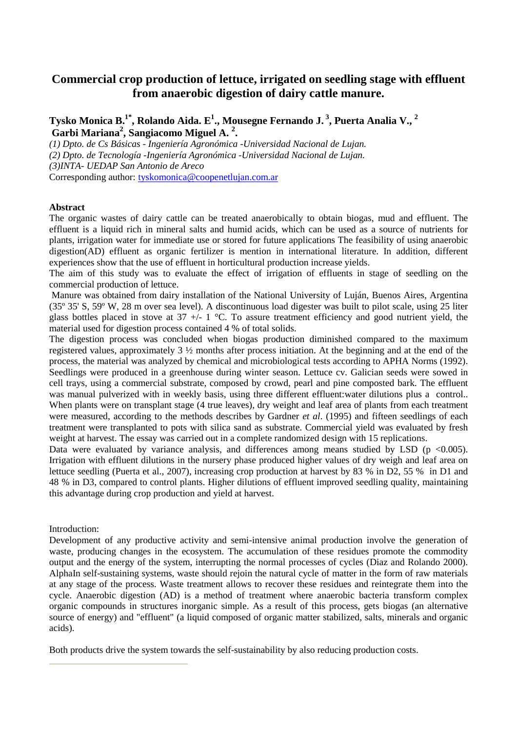# **Commercial crop production of lettuce, irrigated on seedling stage with effluent from anaerobic digestion of dairy cattle manure.**

**Tysko Monica B.1\*, Rolando Aida. E<sup>1</sup> ., Mousegne Fernando J.<sup>3</sup>, Puerta Analia V., <sup>2</sup> Garbi Mariana<sup>2</sup> , Sangiacomo Miguel A. <sup>2</sup> .** 

*(1) Dpto. de Cs Básicas - Ingeniería Agronómica -Universidad Nacional de Lujan. (2) Dpto. de Tecnología -Ingeniería Agronómica -Universidad Nacional de Lujan. (3)INTA- UEDAP San Antonio de Areco*  Corresponding author: tyskomonica@coopenetlujan.com.ar

### **Abstract**

The organic wastes of dairy cattle can be treated anaerobically to obtain biogas, mud and effluent. The effluent is a liquid rich in mineral salts and humid acids, which can be used as a source of nutrients for plants, irrigation water for immediate use or stored for future applications The feasibility of using anaerobic digestion(AD) effluent as organic fertilizer is mention in international literature. In addition, different experiences show that the use of effluent in horticultural production increase yields.

The aim of this study was to evaluate the effect of irrigation of effluents in stage of seedling on the commercial production of lettuce.

 Manure was obtained from dairy installation of the National University of Luján, Buenos Aires, Argentina (35º 35' S, 59º W, 28 m over sea level). A discontinuous load digester was built to pilot scale, using 25 liter glass bottles placed in stove at  $37 +/- 1$  °C. To assure treatment efficiency and good nutrient yield, the material used for digestion process contained 4 % of total solids.

The digestion process was concluded when biogas production diminished compared to the maximum registered values, approximately 3 ½ months after process initiation. At the beginning and at the end of the process, the material was analyzed by chemical and microbiological tests according to APHA Norms (1992). Seedlings were produced in a greenhouse during winter season. Lettuce cv. Galician seeds were sowed in cell trays, using a commercial substrate, composed by crowd, pearl and pine composted bark. The effluent was manual pulverized with in weekly basis, using three different effluent:water dilutions plus a control.. When plants were on transplant stage (4 true leaves), dry weight and leaf area of plants from each treatment were measured, according to the methods describes by Gardner *et al*. (1995) and fifteen seedlings of each treatment were transplanted to pots with silica sand as substrate. Commercial yield was evaluated by fresh weight at harvest. The essay was carried out in a complete randomized design with 15 replications.

Data were evaluated by variance analysis, and differences among means studied by LSD ( $p \le 0.005$ ). Irrigation with effluent dilutions in the nursery phase produced higher values of dry weigh and leaf area on lettuce seedling (Puerta et al., 2007), increasing crop production at harvest by 83 % in D2, 55 % in D1 and 48 % in D3, compared to control plants. Higher dilutions of effluent improved seedling quality, maintaining this advantage during crop production and yield at harvest.

Introduction:

Development of any productive activity and semi-intensive animal production involve the generation of waste, producing changes in the ecosystem. The accumulation of these residues promote the commodity output and the energy of the system, interrupting the normal processes of cycles (Diaz and Rolando 2000). AlphaIn self-sustaining systems, waste should rejoin the natural cycle of matter in the form of raw materials at any stage of the process. Waste treatment allows to recover these residues and reintegrate them into the cycle. Anaerobic digestion (AD) is a method of treatment where anaerobic bacteria transform complex organic compounds in structures inorganic simple. As a result of this process, gets biogas (an alternative source of energy) and "effluent" (a liquid composed of organic matter stabilized, salts, minerals and organic acids).

Both products drive the system towards the self-sustainability by also reducing production costs.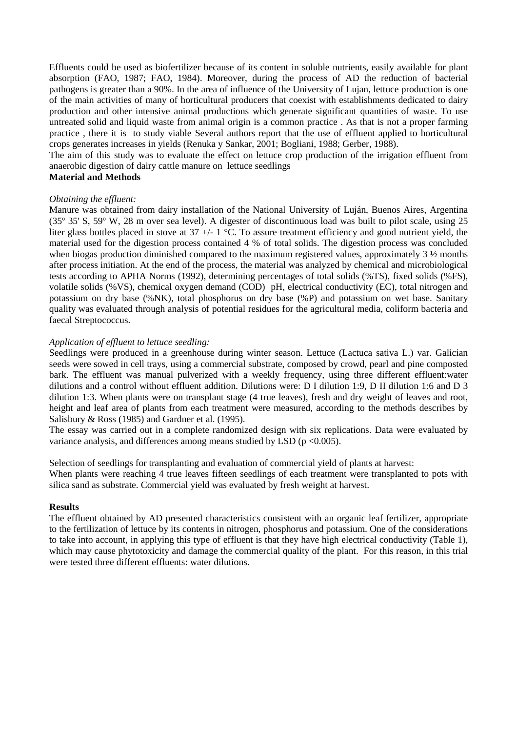Effluents could be used as biofertilizer because of its content in soluble nutrients, easily available for plant absorption (FAO, 1987; FAO, 1984). Moreover, during the process of AD the reduction of bacterial pathogens is greater than a 90%. In the area of influence of the University of Lujan, lettuce production is one of the main activities of many of horticultural producers that coexist with establishments dedicated to dairy production and other intensive animal productions which generate significant quantities of waste. To use untreated solid and liquid waste from animal origin is a common practice . As that is not a proper farming practice , there it is to study viable Several authors report that the use of effluent applied to horticultural crops generates increases in yields (Renuka y Sankar, 2001; Bogliani, 1988; Gerber, 1988).

The aim of this study was to evaluate the effect on lettuce crop production of the irrigation effluent from anaerobic digestion of dairy cattle manure on lettuce seedlings

## **Material and Methods**

### *Obtaining the effluent:*

Manure was obtained from dairy installation of the National University of Luján, Buenos Aires, Argentina (35º 35' S, 59º W, 28 m over sea level). A digester of discontinuous load was built to pilot scale, using 25 liter glass bottles placed in stove at  $37 +1$  °C. To assure treatment efficiency and good nutrient yield, the material used for the digestion process contained 4 % of total solids. The digestion process was concluded when biogas production diminished compared to the maximum registered values, approximately  $3\frac{1}{2}$  months after process initiation. At the end of the process, the material was analyzed by chemical and microbiological tests according to APHA Norms (1992), determining percentages of total solids (%TS), fixed solids (%FS), volatile solids (%VS), chemical oxygen demand (COD) pH, electrical conductivity (EC), total nitrogen and potassium on dry base (%NK), total phosphorus on dry base (%P) and potassium on wet base. Sanitary quality was evaluated through analysis of potential residues for the agricultural media, coliform bacteria and faecal Streptococcus.

### *Application of effluent to lettuce seedling:*

Seedlings were produced in a greenhouse during winter season. Lettuce (Lactuca sativa L.) var. Galician seeds were sowed in cell trays, using a commercial substrate, composed by crowd, pearl and pine composted bark. The effluent was manual pulverized with a weekly frequency, using three different effluent:water dilutions and a control without effluent addition. Dilutions were: D I dilution 1:9, D II dilution 1:6 and D 3 dilution 1:3. When plants were on transplant stage (4 true leaves), fresh and dry weight of leaves and root, height and leaf area of plants from each treatment were measured, according to the methods describes by Salisbury & Ross (1985) and Gardner et al. (1995).

The essay was carried out in a complete randomized design with six replications. Data were evaluated by variance analysis, and differences among means studied by LSD ( $p \le 0.005$ ).

Selection of seedlings for transplanting and evaluation of commercial yield of plants at harvest:

When plants were reaching 4 true leaves fifteen seedlings of each treatment were transplanted to pots with silica sand as substrate. Commercial yield was evaluated by fresh weight at harvest.

#### **Results**

The effluent obtained by AD presented characteristics consistent with an organic leaf fertilizer, appropriate to the fertilization of lettuce by its contents in nitrogen, phosphorus and potassium. One of the considerations to take into account, in applying this type of effluent is that they have high electrical conductivity (Table 1), which may cause phytotoxicity and damage the commercial quality of the plant. For this reason, in this trial were tested three different effluents: water dilutions.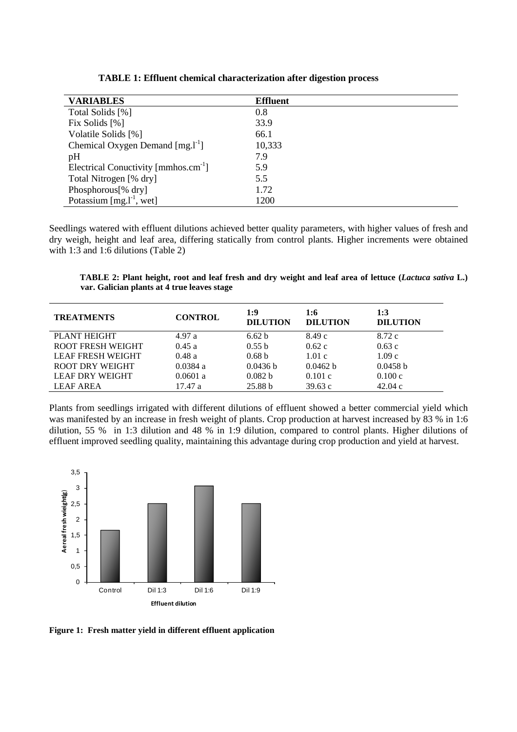| <b>VARIABLES</b>                                 | <b>Effluent</b> |
|--------------------------------------------------|-----------------|
| Total Solids [%]                                 | 0.8             |
| Fix Solids [%]                                   | 33.9            |
| Volatile Solids [%]                              | 66.1            |
| Chemical Oxygen Demand [mg.1 <sup>-1</sup> ]     | 10,333          |
| pH                                               | 7.9             |
| Electrical Conuctivity [mmhos.cm <sup>-1</sup> ] | 5.9             |
| Total Nitrogen [% dry]                           | 5.5             |
| Phosphorous[% dry]                               | 1.72            |
| Potassium $[mg.1^{-1}, wet]$                     | 1200            |

**TABLE 1: Effluent chemical characterization after digestion process** 

Seedlings watered with effluent dilutions achieved better quality parameters, with higher values of fresh and dry weigh, height and leaf area, differing statically from control plants. Higher increments were obtained with 1:3 and 1:6 dilutions (Table 2)

**TABLE 2: Plant height, root and leaf fresh and dry weight and leaf area of lettuce (***Lactuca sativa* **L.) var. Galician plants at 4 true leaves stage** 

| <b>TREATMENTS</b>        | <b>CONTROL</b> | 1:9<br><b>DILUTION</b> | 1:6<br><b>DILUTION</b> | 1:3<br><b>DILUTION</b> |
|--------------------------|----------------|------------------------|------------------------|------------------------|
| PLANT HEIGHT             | 4.97a          | 6.62 b                 | 8.49c                  | 8.72 c                 |
| <b>ROOT FRESH WEIGHT</b> | 0.45a          | 0.55 b                 | 0.62c                  | 0.63c                  |
| <b>LEAF FRESH WEIGHT</b> | 0.48a          | 0.68 <sub>b</sub>      | 1.01c                  | 1.09c                  |
| ROOT DRY WEIGHT          | $0.0384$ a     | 0.0436 h               | 0.0462 h               | 0.0458 h               |
| <b>LEAF DRY WEIGHT</b>   | $0.0601$ a     | 0.082 <sub>b</sub>     | 0.101c                 | 0.100c                 |
| <b>LEAF AREA</b>         | 17.47 a        | 25.88 b                | 39.63c                 | 42.04c                 |

Plants from seedlings irrigated with different dilutions of effluent showed a better commercial yield which was manifested by an increase in fresh weight of plants. Crop production at harvest increased by 83 % in 1:6 dilution, 55 % in 1:3 dilution and 48 % in 1:9 dilution, compared to control plants. Higher dilutions of effluent improved seedling quality, maintaining this advantage during crop production and yield at harvest.



**Figure 1: Fresh matter yield in different effluent application**